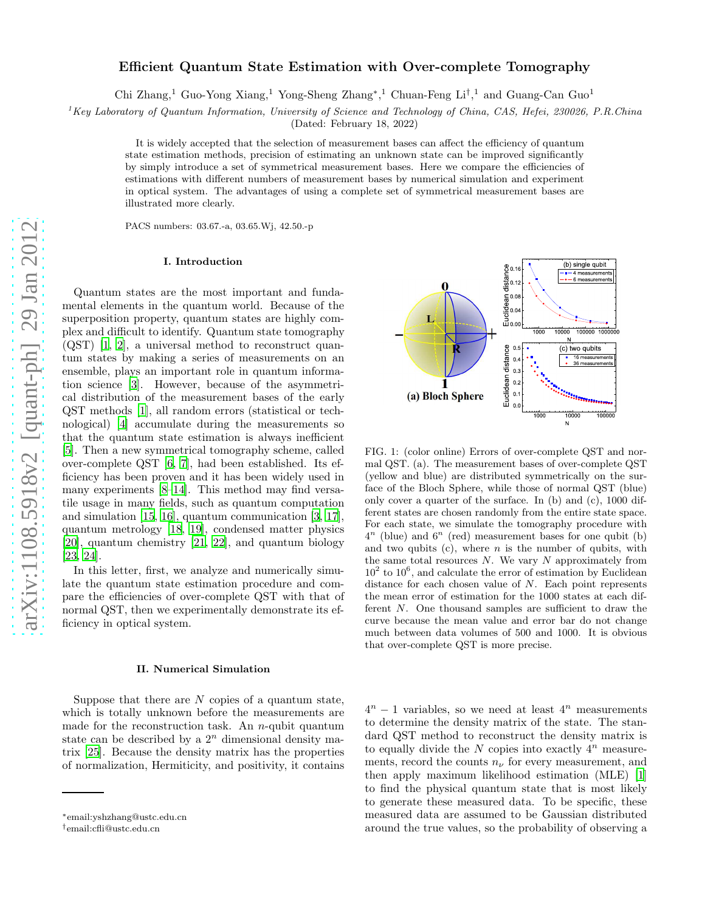# arXiv:1108.5918v2 [quant-ph] 29 Jan 2012 [arXiv:1108.5918v2 \[quant-ph\] 29 Jan 2012](http://arxiv.org/abs/1108.5918v2)

# Efficient Quantum State Estimation with Over-complete Tomography

Chi Zhang,<sup>1</sup> Guo-Yong Xiang,<sup>1</sup> Yong-Sheng Zhang<sup>∗</sup>,<sup>1</sup> Chuan-Feng Li<sup>†</sup>,<sup>1</sup> and Guang-Can Guo<sup>1</sup>

 ${}^{1}$ Key Laboratory of Quantum Information, University of Science and Technology of China, CAS, Hefei, 230026, P.R.China

(Dated: February 18, 2022)

It is widely accepted that the selection of measurement bases can affect the efficiency of quantum state estimation methods, precision of estimating an unknown state can be improved significantly by simply introduce a set of symmetrical measurement bases. Here we compare the efficiencies of estimations with different numbers of measurement bases by numerical simulation and experiment in optical system. The advantages of using a complete set of symmetrical measurement bases are illustrated more clearly.

PACS numbers: 03.67.-a, 03.65.Wj, 42.50.-p

# I. Introduction

Quantum states are the most important and fundamental elements in the quantum world. Because of the superposition property, quantum states are highly complex and difficult to identify. Quantum state tomography (QST) [\[1,](#page-3-0) [2\]](#page-3-1), a universal method to reconstruct quantum states by making a series of measurements on an ensemble, plays an important role in quantum information science [\[3](#page-3-2)]. However, because of the asymmetrical distribution of the measurement bases of the early QST methods [\[1](#page-3-0)], all random errors (statistical or technological) [\[4\]](#page-3-3) accumulate during the measurements so that the quantum state estimation is always inefficient [\[5\]](#page-3-4). Then a new symmetrical tomography scheme, called over-complete QST [\[6](#page-3-5), [7\]](#page-3-6), had been established. Its efficiency has been proven and it has been widely used in many experiments [\[8](#page-3-7)[–14](#page-3-8)]. This method may find versatile usage in many fields, such as quantum computation and simulation [\[15](#page-3-9), [16](#page-3-10)], quantum communication [\[3,](#page-3-2) [17\]](#page-3-11), quantum metrology [\[18,](#page-3-12) [19](#page-3-13)], condensed matter physics [\[20\]](#page-3-14), quantum chemistry [\[21](#page-3-15), [22](#page-3-16)], and quantum biology [\[23,](#page-3-17) [24\]](#page-3-18).

In this letter, first, we analyze and numerically simulate the quantum state estimation procedure and compare the efficiencies of over-complete QST with that of normal QST, then we experimentally demonstrate its efficiency in optical system.

### II. Numerical Simulation

Suppose that there are  $N$  copies of a quantum state, which is totally unknown before the measurements are made for the reconstruction task. An  $n$ -qubit quantum state can be described by a  $2<sup>n</sup>$  dimensional density matrix [\[25](#page-3-19)]. Because the density matrix has the properties of normalization, Hermiticity, and positivity, it contains

(b) single qubit Euclidean distance 0.16 4 measurements 0.12 L <sup>1000</sup> 10000 100000 1000000 Euclidean distance  $\Omega$ (c) two qubits Euclidean distance  $-1$ 0.4 16 measurements 36 measurements  $0.3$  $\overline{0}$ . (a) Bloch Sphere  $\mathbf{0}$ .  $\sim$ <sup>1000</sup> <sup>10000</sup> <sup>100000</sup>  $\mathbf{N}$ 

FIG. 1: (color online) Errors of over-complete QST and normal QST. (a). The measurement bases of over-complete QST (yellow and blue) are distributed symmetrically on the surface of the Bloch Sphere, while those of normal QST (blue) only cover a quarter of the surface. In (b) and (c), 1000 different states are chosen randomly from the entire state space. For each state, we simulate the tomography procedure with  $4^n$  (blue) and  $6^n$  (red) measurement bases for one qubit (b) and two qubits  $(c)$ , where *n* is the number of qubits, with the same total resources  $N$ . We vary  $N$  approximately from  $10^2$  to  $10^6$ , and calculate the error of estimation by Euclidean distance for each chosen value of  $N$ . Each point represents the mean error of estimation for the 1000 states at each different N. One thousand samples are sufficient to draw the curve because the mean value and error bar do not change much between data volumes of 500 and 1000. It is obvious that over-complete QST is more precise.

 $4^n - 1$  variables, so we need at least  $4^n$  measurements to determine the density matrix of the state. The standard QST method to reconstruct the density matrix is to equally divide the  $N$  copies into exactly  $4^n$  measurements, record the counts  $n_{\nu}$  for every measurement, and then apply maximum likelihood estimation (MLE) [\[1](#page-3-0)] to find the physical quantum state that is most likely to generate these measured data. To be specific, these measured data are assumed to be Gaussian distributed around the true values, so the probability of observing a

<sup>∗</sup> email:yshzhang@ustc.edu.cn

<sup>†</sup>email:cfli@ustc.edu.cn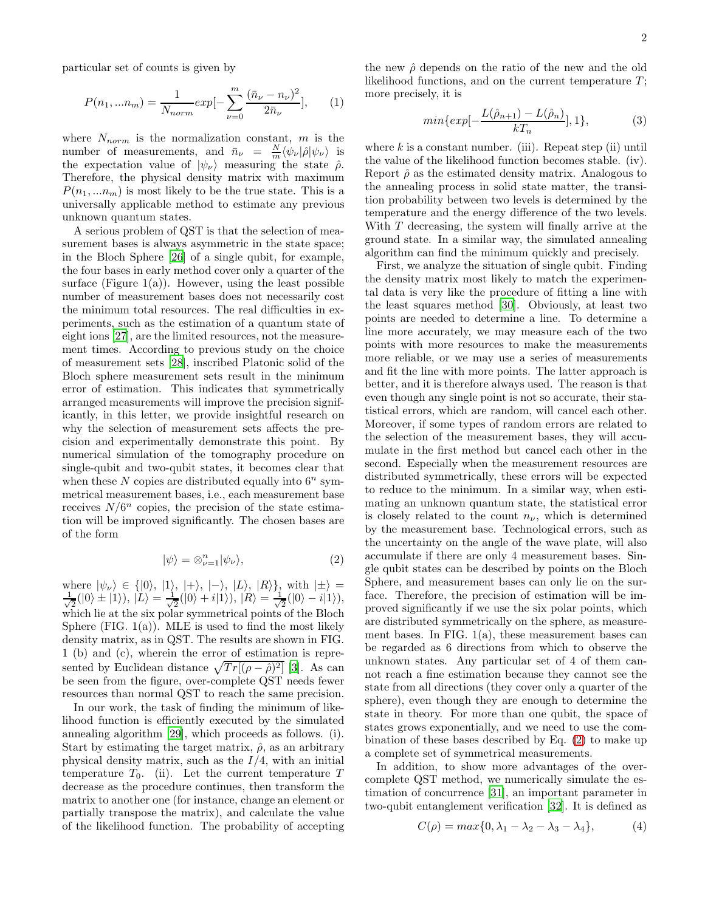particular set of counts is given by

$$
P(n_1, ... n_m) = \frac{1}{N_{norm}} exp[-\sum_{\nu=0}^{m} \frac{(\bar{n}_{\nu} - n_{\nu})^2}{2\bar{n}_{\nu}}],
$$
 (1)

where  $N_{norm}$  is the normalization constant, m is the number of measurements, and  $\bar{n}_{\nu} = \frac{N}{m} \langle \psi_{\nu} | \hat{\rho} | \psi_{\nu} \rangle$  is the expectation value of  $|\psi_{\nu}\rangle$  measuring the state  $\hat{\rho}$ . Therefore, the physical density matrix with maximum  $P(n_1, ... n_m)$  is most likely to be the true state. This is a universally applicable method to estimate any previous unknown quantum states.

A serious problem of QST is that the selection of measurement bases is always asymmetric in the state space; in the Bloch Sphere [\[26\]](#page-3-20) of a single qubit, for example, the four bases in early method cover only a quarter of the surface (Figure  $1(a)$ ). However, using the least possible number of measurement bases does not necessarily cost the minimum total resources. The real difficulties in experiments, such as the estimation of a quantum state of eight ions [\[27\]](#page-3-21), are the limited resources, not the measurement times. According to previous study on the choice of measurement sets [\[28\]](#page-3-22), inscribed Platonic solid of the Bloch sphere measurement sets result in the minimum error of estimation. This indicates that symmetrically arranged measurements will improve the precision significantly, in this letter, we provide insightful research on why the selection of measurement sets affects the precision and experimentally demonstrate this point. By numerical simulation of the tomography procedure on single-qubit and two-qubit states, it becomes clear that when these N copies are distributed equally into  $6^n$  symmetrical measurement bases, i.e., each measurement base receives  $N/6^n$  copies, the precision of the state estimation will be improved significantly. The chosen bases are of the form

<span id="page-1-0"></span>
$$
|\psi\rangle = \otimes_{\nu=1}^{n} |\psi_{\nu}\rangle, \tag{2}
$$

where  $|\psi_{\nu}\rangle \in \{ |0\rangle, |1\rangle, |+\rangle, |-\rangle, |L\rangle, |R\rangle\},\$  with  $|\pm\rangle =$ √ 1  $\frac{1}{2}(|0\rangle \pm |1\rangle), |\tilde{L}\rangle = \frac{1}{\sqrt{2}}$  $\frac{1}{2}(|0\rangle + i|1\rangle), |R\rangle = \frac{1}{\sqrt{2}}$  $\frac{1}{2}(|0\rangle - i|1\rangle),$ which lie at the six polar symmetrical points of the Bloch Sphere (FIG.  $1(a)$ ). MLE is used to find the most likely density matrix, as in QST. The results are shown in FIG. 1 (b) and (c), wherein the error of estimation is represented by Euclidean distance  $\sqrt{Tr[(\rho - \hat{\rho})^2]}$  [\[3](#page-3-2)]. As can be seen from the figure, over-complete QST needs fewer resources than normal QST to reach the same precision.

In our work, the task of finding the minimum of likelihood function is efficiently executed by the simulated annealing algorithm [\[29](#page-4-0)], which proceeds as follows. (i). Start by estimating the target matrix,  $\hat{\rho}$ , as an arbitrary physical density matrix, such as the  $I/4$ , with an initial temperature  $T_0$ . (ii). Let the current temperature T decrease as the procedure continues, then transform the matrix to another one (for instance, change an element or partially transpose the matrix), and calculate the value of the likelihood function. The probability of accepting

the new  $\hat{\rho}$  depends on the ratio of the new and the old likelihood functions, and on the current temperature  $T$ ; more precisely, it is

$$
min\{exp[-\frac{L(\hat{\rho}_{n+1}) - L(\hat{\rho}_n)}{kT_n}], 1\},
$$
\n(3)

where  $k$  is a constant number. (iii). Repeat step (ii) until the value of the likelihood function becomes stable. (iv). Report  $\hat{\rho}$  as the estimated density matrix. Analogous to the annealing process in solid state matter, the transition probability between two levels is determined by the temperature and the energy difference of the two levels. With T decreasing, the system will finally arrive at the ground state. In a similar way, the simulated annealing algorithm can find the minimum quickly and precisely.

First, we analyze the situation of single qubit. Finding the density matrix most likely to match the experimental data is very like the procedure of fitting a line with the least squares method [\[30\]](#page-4-1). Obviously, at least two points are needed to determine a line. To determine a line more accurately, we may measure each of the two points with more resources to make the measurements more reliable, or we may use a series of measurements and fit the line with more points. The latter approach is better, and it is therefore always used. The reason is that even though any single point is not so accurate, their statistical errors, which are random, will cancel each other. Moreover, if some types of random errors are related to the selection of the measurement bases, they will accumulate in the first method but cancel each other in the second. Especially when the measurement resources are distributed symmetrically, these errors will be expected to reduce to the minimum. In a similar way, when estimating an unknown quantum state, the statistical error is closely related to the count  $n_{\nu}$ , which is determined by the measurement base. Technological errors, such as the uncertainty on the angle of the wave plate, will also accumulate if there are only 4 measurement bases. Single qubit states can be described by points on the Bloch Sphere, and measurement bases can only lie on the surface. Therefore, the precision of estimation will be improved significantly if we use the six polar points, which are distributed symmetrically on the sphere, as measurement bases. In FIG. 1(a), these measurement bases can be regarded as 6 directions from which to observe the unknown states. Any particular set of 4 of them cannot reach a fine estimation because they cannot see the state from all directions (they cover only a quarter of the sphere), even though they are enough to determine the state in theory. For more than one qubit, the space of states grows exponentially, and we need to use the combination of these bases described by Eq. [\(2\)](#page-1-0) to make up a complete set of symmetrical measurements.

In addition, to show more advantages of the overcomplete QST method, we numerically simulate the estimation of concurrence [\[31](#page-4-2)], an important parameter in two-qubit entanglement verification [\[32\]](#page-4-3). It is defined as

$$
C(\rho) = max\{0, \lambda_1 - \lambda_2 - \lambda_3 - \lambda_4\},\tag{4}
$$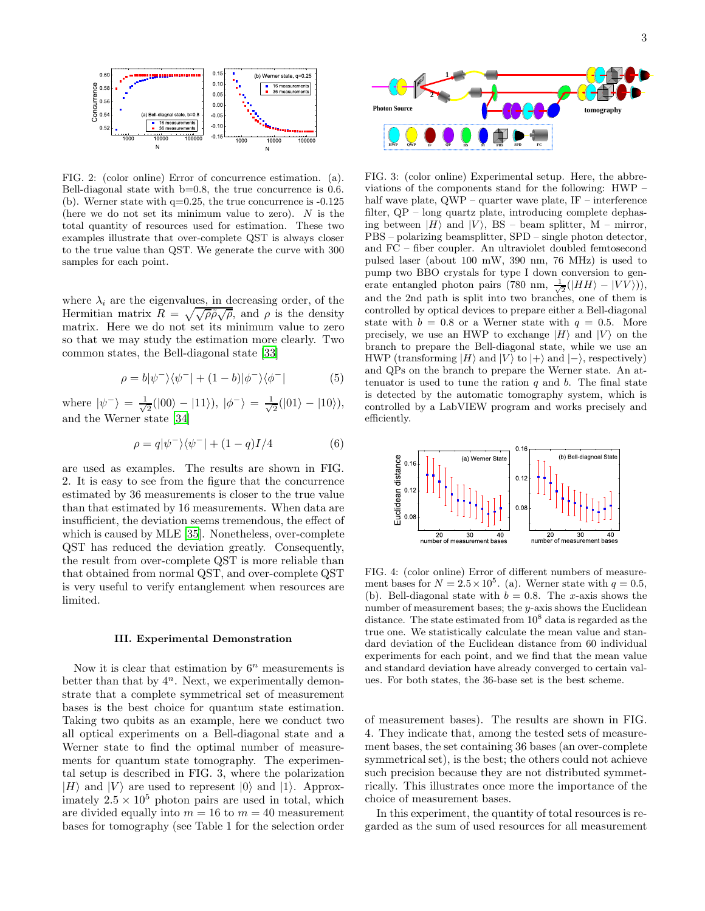

FIG. 2: (color online) Error of concurrence estimation. (a). Bell-diagonal state with b=0.8, the true concurrence is 0.6. (b). Werner state with  $q=0.25$ , the true concurrence is  $-0.125$ (here we do not set its minimum value to zero).  $N$  is the total quantity of resources used for estimation. These two examples illustrate that over-complete QST is always closer to the true value than QST. We generate the curve with 300 samples for each point.

where  $\lambda_i$  are the eigenvalues, in decreasing order, of the Hermitian matrix  $R = \sqrt{\sqrt{\rho} \tilde{\rho} \sqrt{\rho}}$ , and  $\rho$  is the density matrix. Here we do not set its minimum value to zero so that we may study the estimation more clearly. Two common states, the Bell-diagonal state [\[33\]](#page-4-4)

$$
\rho = b|\psi^{-}\rangle\langle\psi^{-}| + (1 - b)|\phi^{-}\rangle\langle\phi^{-}| \tag{5}
$$

where  $|\psi^{-}\rangle = \frac{1}{\sqrt{2}}$  $\frac{1}{2}(|00\rangle - |11\rangle), |\phi^{-}\rangle = \frac{1}{\sqrt{2}}$  $\frac{1}{2}(|01\rangle - |10\rangle),$ and the Werner state [\[34\]](#page-4-5)

$$
\rho = q|\psi^{-}\rangle\langle\psi^{-}| + (1 - q)I/4
$$
\n(6)

are used as examples. The results are shown in FIG. 2. It is easy to see from the figure that the concurrence estimated by 36 measurements is closer to the true value than that estimated by 16 measurements. When data are insufficient, the deviation seems tremendous, the effect of which is caused by MLE [\[35\]](#page-4-6). Nonetheless, over-complete QST has reduced the deviation greatly. Consequently, the result from over-complete QST is more reliable than that obtained from normal QST, and over-complete QST is very useful to verify entanglement when resources are limited.

# III. Experimental Demonstration

Now it is clear that estimation by  $6^n$  measurements is better than that by  $4^n$ . Next, we experimentally demonstrate that a complete symmetrical set of measurement bases is the best choice for quantum state estimation. Taking two qubits as an example, here we conduct two all optical experiments on a Bell-diagonal state and a Werner state to find the optimal number of measurements for quantum state tomography. The experimental setup is described in FIG. 3, where the polarization  $|H\rangle$  and  $|V\rangle$  are used to represent  $|0\rangle$  and  $|1\rangle$ . Approximately  $2.5 \times 10^5$  photon pairs are used in total, which are divided equally into  $m = 16$  to  $m = 40$  measurement bases for tomography (see Table 1 for the selection order



FIG. 3: (color online) Experimental setup. Here, the abbreviations of the components stand for the following: HWP – half wave plate, QWP – quarter wave plate, IF – interference filter, QP – long quartz plate, introducing complete dephasing between  $|H\rangle$  and  $|V\rangle$ , BS – beam splitter, M – mirror, PBS – polarizing beamsplitter, SPD – single photon detector, and FC – fiber coupler. An ultraviolet doubled femtosecond pulsed laser (about 100 mW, 390 nm, 76 MHz) is used to pump two BBO crystals for type I down conversion to generate entangled photon pairs (780 nm,  $\frac{1}{\sqrt{2}}(|HH\rangle - |VV\rangle)$ ), and the 2nd path is split into two branches, one of them is controlled by optical devices to prepare either a Bell-diagonal state with  $b = 0.8$  or a Werner state with  $q = 0.5$ . More precisely, we use an HWP to exchange  $|H\rangle$  and  $|V\rangle$  on the branch to prepare the Bell-diagonal state, while we use an HWP (transforming  $|H\rangle$  and  $|V\rangle$  to  $|+\rangle$  and  $|-\rangle$ , respectively) and QPs on the branch to prepare the Werner state. An attenuator is used to tune the ration  $q$  and  $b$ . The final state is detected by the automatic tomography system, which is controlled by a LabVIEW program and works precisely and efficiently.



FIG. 4: (color online) Error of different numbers of measurement bases for  $N = 2.5 \times 10^5$ . (a). Werner state with  $q = 0.5$ , (b). Bell-diagonal state with  $b = 0.8$ . The x-axis shows the number of measurement bases; the y-axis shows the Euclidean distance. The state estimated from  $10^8$  data is regarded as the true one. We statistically calculate the mean value and standard deviation of the Euclidean distance from 60 individual experiments for each point, and we find that the mean value and standard deviation have already converged to certain values. For both states, the 36-base set is the best scheme.

of measurement bases). The results are shown in FIG. 4. They indicate that, among the tested sets of measurement bases, the set containing 36 bases (an over-complete symmetrical set), is the best; the others could not achieve such precision because they are not distributed symmetrically. This illustrates once more the importance of the choice of measurement bases.

In this experiment, the quantity of total resources is regarded as the sum of used resources for all measurement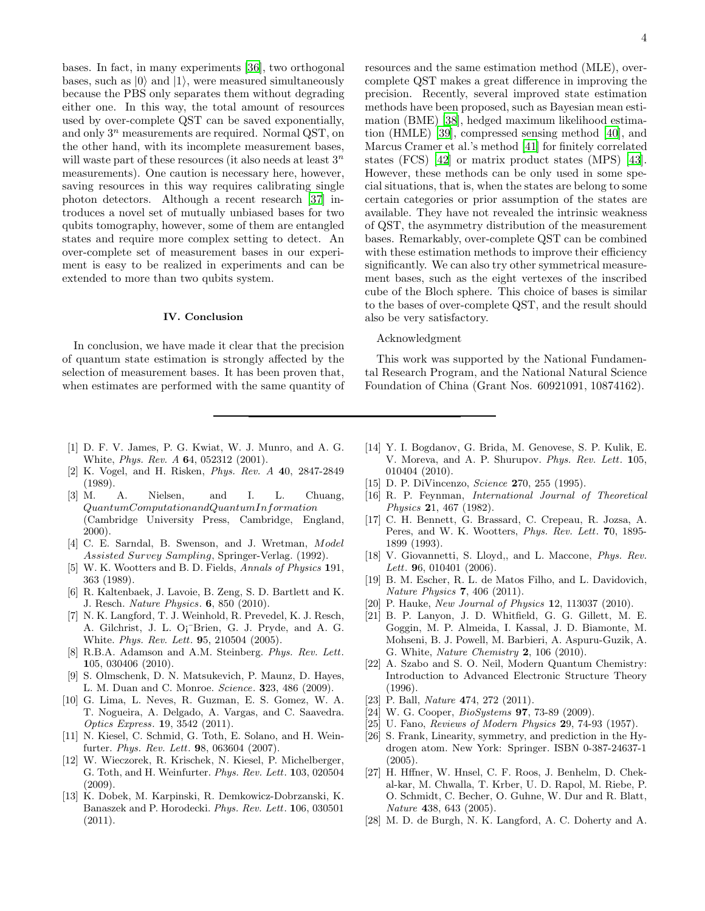bases. In fact, in many experiments [\[36](#page-4-7)], two orthogonal bases, such as  $|0\rangle$  and  $|1\rangle$ , were measured simultaneously because the PBS only separates them without degrading either one. In this way, the total amount of resources used by over-complete QST can be saved exponentially, and only  $3^n$  measurements are required. Normal QST, on the other hand, with its incomplete measurement bases, will waste part of these resources (it also needs at least  $3^n$ ) measurements). One caution is necessary here, however, saving resources in this way requires calibrating single photon detectors. Although a recent research [\[37\]](#page-4-8) introduces a novel set of mutually unbiased bases for two qubits tomography, however, some of them are entangled states and require more complex setting to detect. An over-complete set of measurement bases in our experiment is easy to be realized in experiments and can be extended to more than two qubits system.

# IV. Conclusion

In conclusion, we have made it clear that the precision of quantum state estimation is strongly affected by the selection of measurement bases. It has been proven that, when estimates are performed with the same quantity of resources and the same estimation method (MLE), overcomplete QST makes a great difference in improving the precision. Recently, several improved state estimation methods have been proposed, such as Bayesian mean estimation (BME) [\[38\]](#page-4-9), hedged maximum likelihood estimation (HMLE) [\[39](#page-4-10)], compressed sensing method [\[40\]](#page-4-11), and Marcus Cramer et al.'s method [\[41](#page-4-12)] for finitely correlated states (FCS) [\[42\]](#page-4-13) or matrix product states (MPS) [\[43\]](#page-4-14). However, these methods can be only used in some special situations, that is, when the states are belong to some certain categories or prior assumption of the states are available. They have not revealed the intrinsic weakness of QST, the asymmetry distribution of the measurement bases. Remarkably, over-complete QST can be combined with these estimation methods to improve their efficiency significantly. We can also try other symmetrical measurement bases, such as the eight vertexes of the inscribed cube of the Bloch sphere. This choice of bases is similar to the bases of over-complete QST, and the result should also be very satisfactory.

# Acknowledgment

This work was supported by the National Fundamental Research Program, and the National Natural Science Foundation of China (Grant Nos. 60921091, 10874162).

- <span id="page-3-0"></span>[1] D. F. V. James, P. G. Kwiat, W. J. Munro, and A. G. White, Phys. Rev. A 64, 052312 (2001).
- <span id="page-3-1"></span>[2] K. Vogel, and H. Risken, Phys. Rev. A 40, 2847-2849 (1989).
- <span id="page-3-2"></span>[3] M. A. Nielsen, and I. L. Chuang,  $QuantumComputation and Quantum Information$ (Cambridge University Press, Cambridge, England, 2000).
- <span id="page-3-3"></span>[4] C. E. Sarndal, B. Swenson, and J. Wretman, Model Assisted Survey Sampling, Springer-Verlag. (1992).
- <span id="page-3-4"></span>[5] W. K. Wootters and B. D. Fields, Annals of Physics 191, 363 (1989).
- <span id="page-3-5"></span>[6] R. Kaltenbaek, J. Lavoie, B. Zeng, S. D. Bartlett and K. J. Resch. Nature Physics. 6, 850 (2010).
- <span id="page-3-6"></span>[7] N. K. Langford, T. J. Weinhold, R. Prevedel, K. J. Resch, A. Gilchrist, J. L. O¡¯Brien, G. J. Pryde, and A. G. White. Phys. Rev. Lett. 95, 210504 (2005).
- <span id="page-3-7"></span>[8] R.B.A. Adamson and A.M. Steinberg. Phys. Rev. Lett. 105, 030406 (2010).
- [9] S. Olmschenk, D. N. Matsukevich, P. Maunz, D. Hayes, L. M. Duan and C. Monroe. Science. 323, 486 (2009).
- [10] G. Lima, L. Neves, R. Guzman, E. S. Gomez, W. A. T. Nogueira, A. Delgado, A. Vargas, and C. Saavedra. Optics Express. 19, 3542 (2011).
- [11] N. Kiesel, C. Schmid, G. Toth, E. Solano, and H. Weinfurter. Phys. Rev. Lett. 98, 063604 (2007).
- [12] W. Wieczorek, R. Krischek, N. Kiesel, P. Michelberger, G. Toth, and H. Weinfurter. Phys. Rev. Lett. 103, 020504 (2009).
- [13] K. Dobek, M. Karpinski, R. Demkowicz-Dobrzanski, K. Banaszek and P. Horodecki. Phys. Rev. Lett. 106, 030501 (2011).
- <span id="page-3-8"></span>[14] Y. I. Bogdanov, G. Brida, M. Genovese, S. P. Kulik, E. V. Moreva, and A. P. Shurupov. Phys. Rev. Lett. 105, 010404 (2010).
- <span id="page-3-9"></span>[15] D. P. DiVincenzo, *Science* **270**, 255 (1995).
- <span id="page-3-10"></span>[16] R. P. Feynman, International Journal of Theoretical Physics 21, 467 (1982).
- <span id="page-3-11"></span>[17] C. H. Bennett, G. Brassard, C. Crepeau, R. Jozsa, A. Peres, and W. K. Wootters, Phys. Rev. Lett. 70, 1895- 1899 (1993).
- <span id="page-3-12"></span>[18] V. Giovannetti, S. Lloyd,, and L. Maccone, Phys. Rev. Lett. **9**6, 010401 (2006).
- <span id="page-3-13"></span>[19] B. M. Escher, R. L. de Matos Filho, and L. Davidovich, Nature Physics 7, 406 (2011).
- <span id="page-3-14"></span>[20] P. Hauke, New Journal of Physics 12, 113037 (2010).
- <span id="page-3-15"></span>[21] B. P. Lanyon, J. D. Whitfield, G. G. Gillett, M. E. Goggin, M. P. Almeida, I. Kassal, J. D. Biamonte, M. Mohseni, B. J. Powell, M. Barbieri, A. Aspuru-Guzik, A. G. White, Nature Chemistry 2, 106 (2010).
- <span id="page-3-16"></span>[22] A. Szabo and S. O. Neil, Modern Quantum Chemistry: Introduction to Advanced Electronic Structure Theory (1996).
- <span id="page-3-17"></span>[23] P. Ball, *Nature* **474**, 272 (2011).
- <span id="page-3-18"></span>[24] W. G. Cooper, *BioSystems* **97**, 73-89 (2009).
- <span id="page-3-19"></span>[25] U. Fano, *Reviews of Modern Physics* **2**9, 74-93 (1957).
- <span id="page-3-20"></span>[26] S. Frank, Linearity, symmetry, and prediction in the Hydrogen atom. New York: Springer. ISBN 0-387-24637-1 (2005).
- <span id="page-3-21"></span>[27] H. Hffner, W. Hnsel, C. F. Roos, J. Benhelm, D. Chekal-kar, M. Chwalla, T. Krber, U. D. Rapol, M. Riebe, P. O. Schmidt, C. Becher, O. Guhne, W. Dur and R. Blatt, Nature 438, 643 (2005).
- <span id="page-3-22"></span>[28] M. D. de Burgh, N. K. Langford, A. C. Doherty and A.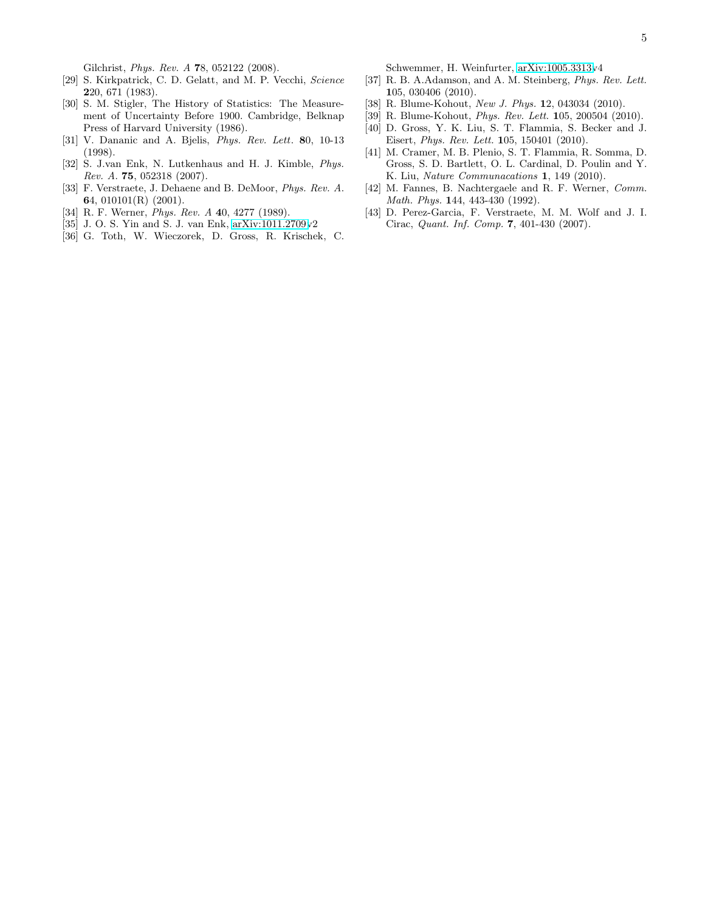Gilchrist, Phys. Rev. A 78, 052122 (2008).

- <span id="page-4-0"></span>[29] S. Kirkpatrick, C. D. Gelatt, and M. P. Vecchi, Science 220, 671 (1983).
- <span id="page-4-1"></span>[30] S. M. Stigler, The History of Statistics: The Measurement of Uncertainty Before 1900. Cambridge, Belknap Press of Harvard University (1986).
- <span id="page-4-2"></span>[31] V. Dananic and A. Bjelis, Phys. Rev. Lett. 80, 10-13 (1998).
- <span id="page-4-3"></span>[32] S. J.van Enk, N. Lutkenhaus and H. J. Kimble, Phys. Rev. A. 75, 052318 (2007).
- <span id="page-4-4"></span>[33] F. Verstraete, J. Dehaene and B. DeMoor, Phys. Rev. A. 64, 010101(R) (2001).
- <span id="page-4-5"></span>[34] R. F. Werner, *Phys. Rev. A* 40, 4277 (1989).
- <span id="page-4-6"></span>[35] J. O. S. Yin and S. J. van Enk, [arXiv:1011.2709v](http://arxiv.org/abs/1011.2709)2
- <span id="page-4-7"></span>[36] G. Toth, W. Wieczorek, D. Gross, R. Krischek, C.

Schwemmer, H. Weinfurter, [arXiv:1005.3313v](http://arxiv.org/abs/1005.3313)4

- <span id="page-4-8"></span>[37] R. B. A.Adamson, and A. M. Steinberg, Phys. Rev. Lett. 105, 030406 (2010).
- <span id="page-4-9"></span>[38] R. Blume-Kohout, New J. Phys. 12, 043034 (2010).
- <span id="page-4-10"></span>[39] R. Blume-Kohout, Phys. Rev. Lett. 105, 200504 (2010).
- <span id="page-4-11"></span>[40] D. Gross, Y. K. Liu, S. T. Flammia, S. Becker and J. Eisert, Phys. Rev. Lett. 105, 150401 (2010).
- <span id="page-4-12"></span>[41] M. Cramer, M. B. Plenio, S. T. Flammia, R. Somma, D. Gross, S. D. Bartlett, O. L. Cardinal, D. Poulin and Y. K. Liu, Nature Communacations 1, 149 (2010).
- <span id="page-4-13"></span>[42] M. Fannes, B. Nachtergaele and R. F. Werner, Comm. Math. Phys. 144, 443-430 (1992).
- <span id="page-4-14"></span>[43] D. Perez-Garcia, F. Verstraete, M. M. Wolf and J. I. Cirac, Quant. Inf. Comp. 7, 401-430 (2007).